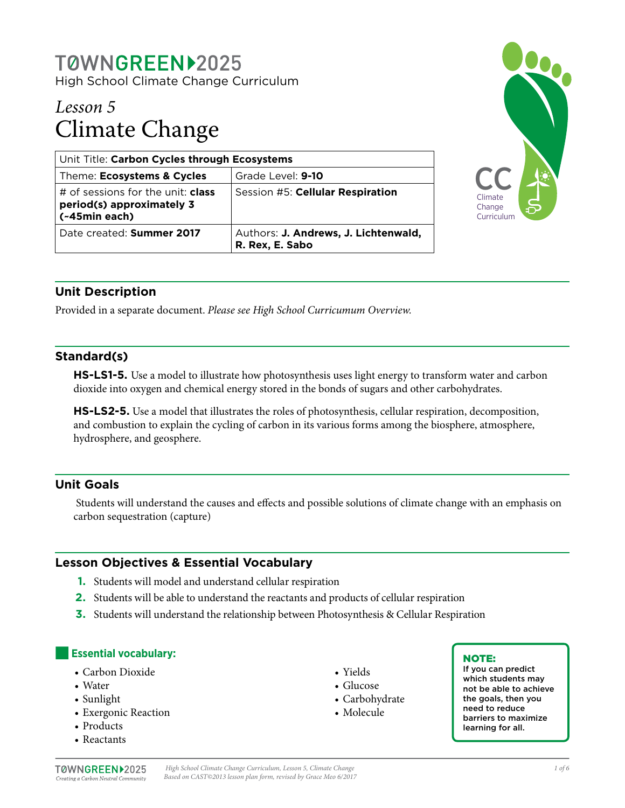# T0WNGREEN>2025

High School Climate Change Curriculum

# *Lesson 5* Climate Change

| Unit Title: Carbon Cycles through Ecosystems                                           |                                                         |  |
|----------------------------------------------------------------------------------------|---------------------------------------------------------|--|
| Theme: Ecosystems & Cycles                                                             | Grade Level: 9-10                                       |  |
| # of sessions for the unit: <b>class</b><br>period(s) approximately 3<br>(~45min each) | Session #5: Cellular Respiration                        |  |
| Date created: Summer 2017                                                              | Authors: J. Andrews, J. Lichtenwald,<br>R. Rex, E. Sabo |  |



# **Unit Description**

Provided in a separate document. *Please see High School Curricumum Overview.*

#### **Standard(s)**

**HS-LS1-5.** Use a model to illustrate how photosynthesis uses light energy to transform water and carbon dioxide into oxygen and chemical energy stored in the bonds of sugars and other carbohydrates.

**HS-LS2-5.** Use a model that illustrates the roles of photosynthesis, cellular respiration, decomposition, and combustion to explain the cycling of carbon in its various forms among the biosphere, atmosphere, hydrosphere, and geosphere.

## **Unit Goals**

 Students will understand the causes and effects and possible solutions of climate change with an emphasis on carbon sequestration (capture)

## **Lesson Objectives & Essential Vocabulary**

- **1.** Students will model and understand cellular respiration
- **2.** Students will be able to understand the reactants and products of cellular respiration
- **3.** Students will understand the relationship between Photosynthesis & Cellular Respiration

#### **Essential vocabulary:**

- Carbon Dioxide
- Water
- Sunlight
- Exergonic Reaction
- Products
- Reactants
- Yields
- Glucose
- Carbohydrate
- Molecule

#### NOTE:

If you can predict which students may not be able to achieve the goals, then you need to reduce barriers to maximize learning for all.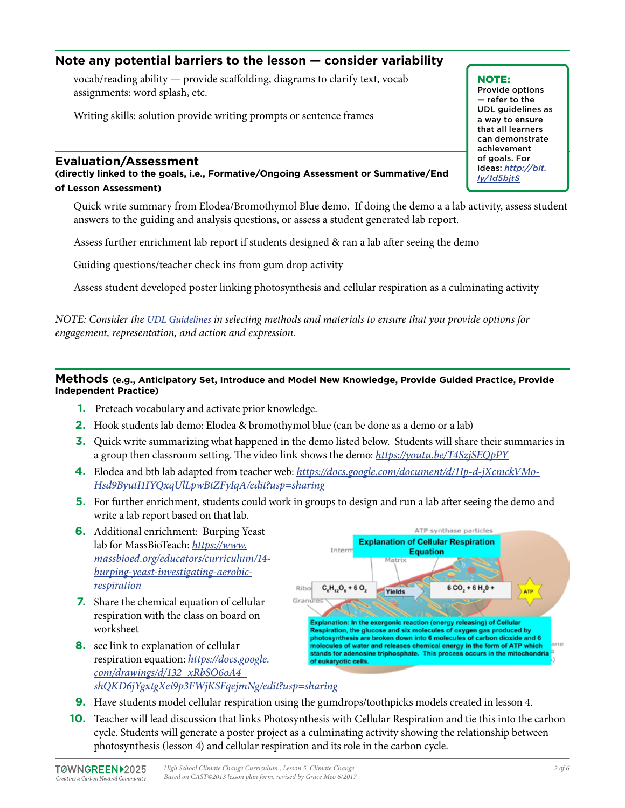## **Note any potential barriers to the lesson — consider variability**

vocab/reading ability — provide scaffolding, diagrams to clarify text, vocab assignments: word splash, etc.

Writing skills: solution provide writing prompts or sentence frames

#### **Evaluation/Assessment**

**(directly linked to the goals, i.e., Formative/Ongoing Assessment or Summative/End of Lesson Assessment)**

Quick write summary from Elodea/Bromothymol Blue demo. If doing the demo a a lab activity, assess student answers to the guiding and analysis questions, or assess a student generated lab report.

Assess further enrichment lab report if students designed & ran a lab after seeing the demo

Guiding questions/teacher check ins from gum drop activity

Assess student developed poster linking photosynthesis and cellular respiration as a culminating activity

*NOTE: Consider the [UDL Guidelines](http://bit.ly/1d5bjtS) in selecting methods and materials to ensure that you provide options for engagement, representation, and action and expression.* 

#### **Methods (e.g., Anticipatory Set, Introduce and Model New Knowledge, Provide Guided Practice, Provide Independent Practice)**

- **1.** Preteach vocabulary and activate prior knowledge.
- **2.** Hook students lab demo: Elodea & bromothymol blue (can be done as a demo or a lab)
- **3.** Quick write summarizing what happened in the demo listed below. Students will share their summaries in a group then classroom setting. The video link shows the demo: *<https://youtu.be/T4SzjSEQpPY>*
- **4.** Elodea and btb lab adapted from teacher web: *[https://docs.google.com/document/d/1Ip-d-jXcmckVMo-](https://docs.google.com/document/d/1Ip-d-jXcmckVMo-Hsd9ByutI1IYQxqUlLpwBtZFyIqA/edit?usp=sharing)[Hsd9ByutI1IYQxqUlLpwBtZFyIqA/edit?usp=sharing](https://docs.google.com/document/d/1Ip-d-jXcmckVMo-Hsd9ByutI1IYQxqUlLpwBtZFyIqA/edit?usp=sharing)*
- **5.** For further enrichment, students could work in groups to design and run a lab after seeing the demo and write a lab report based on that lab.
- **6.** Additional enrichment: Burping Yeast lab for MassBioTeach: *[https://www.](https://www.massbioed.org/educators/curriculum/14-burping-yeast-investigating-aerobic-respiration) [massbioed.org/educators/curriculum/14](https://www.massbioed.org/educators/curriculum/14-burping-yeast-investigating-aerobic-respiration) [burping-yeast-investigating-aerobic](https://www.massbioed.org/educators/curriculum/14-burping-yeast-investigating-aerobic-respiration)[respiration](https://www.massbioed.org/educators/curriculum/14-burping-yeast-investigating-aerobic-respiration)*
- **7.** Share the chemical equation of cellular respiration with the class on board on worksheet
- **8.** see link to explanation of cellular respiration equation: *[https://docs.google.](https://docs.google.com/drawings/d/132_xRbSO6oA4_shQKD6jYgxtgXei9p3FWjKSFqejmNg/edit?usp=sharing) [com/drawings/d/132\\_xRbSO6oA4\\_](https://docs.google.com/drawings/d/132_xRbSO6oA4_shQKD6jYgxtgXei9p3FWjKSFqejmNg/edit?usp=sharing) [shQKD6jYgxtgXei9p3FWjKSFqejmNg/edit?usp=sharing](https://docs.google.com/drawings/d/132_xRbSO6oA4_shQKD6jYgxtgXei9p3FWjKSFqejmNg/edit?usp=sharing)*



- **9.** Have students model cellular respiration using the gumdrops/toothpicks models created in lesson 4.
- **10.** Teacher will lead discussion that links Photosynthesis with Cellular Respiration and tie this into the carbon cycle. Students will generate a poster project as a culminating activity showing the relationship between photosynthesis (lesson 4) and cellular respiration and its role in the carbon cycle.

NOTE:

Provide options — refer to the UDL guidelines as a way to ensure that all learners can demonstrate achievement of goals. For ideas: *[http://bit.](http://bit.ly/1d5bjtS) [ly/1d5bjtS](http://bit.ly/1d5bjtS)*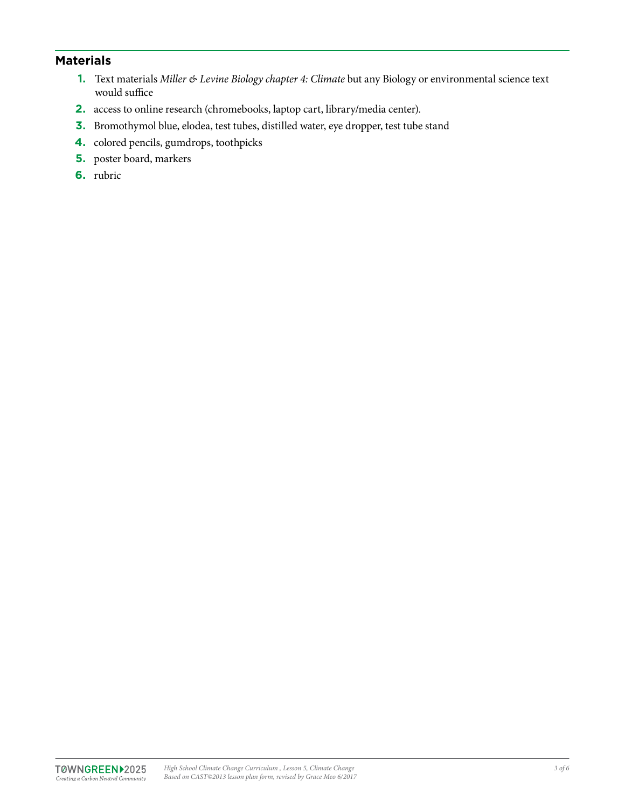## **Materials**

- **1.** Text materials *Miller & Levine Biology chapter 4: Climate* but any Biology or environmental science text would suffice
- **2.** access to online research (chromebooks, laptop cart, library/media center).
- **3.** Bromothymol blue, elodea, test tubes, distilled water, eye dropper, test tube stand
- **4.** colored pencils, gumdrops, toothpicks
- **5.** poster board, markers
- **6.** rubric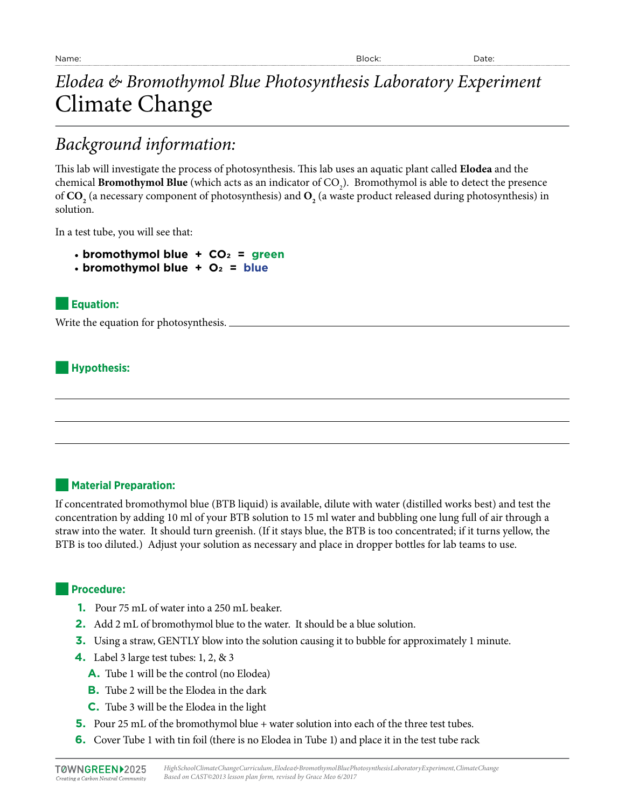# *Elodea & Bromothymol Blue Photosynthesis Laboratory Experiment* Climate Change

# *Background information:*

This lab will investigate the process of photosynthesis. This lab uses an aquatic plant called **Elodea** and the chemical  ${\bf Bromothymol}$   ${\bf Blue}$  (which acts as an indicator of  ${\rm CO}_2$ ). Bromothymol is able to detect the presence of  $\text{CO}_\text{2}$  (a necessary component of photosynthesis) and  $\text{O}_\text{2}$  (a waste product released during photosynthesis) in solution.

In a test tube, you will see that:

- **bromothymol blue + CO2 = green**
- $\cdot$  bromothymol blue  $+$  O<sub>2</sub> = blue

## ■**Equation:**

Write the equation for photosynthesis.

#### ■**Hypothesis:**

#### ■**Material Preparation:**

If concentrated bromothymol blue (BTB liquid) is available, dilute with water (distilled works best) and test the concentration by adding 10 ml of your BTB solution to 15 ml water and bubbling one lung full of air through a straw into the water. It should turn greenish. (If it stays blue, the BTB is too concentrated; if it turns yellow, the BTB is too diluted.) Adjust your solution as necessary and place in dropper bottles for lab teams to use.

#### ■**Procedure:**

- **1.** Pour 75 mL of water into a 250 mL beaker.
- **2.** Add 2 mL of bromothymol blue to the water. It should be a blue solution.
- **3.** Using a straw, GENTLY blow into the solution causing it to bubble for approximately 1 minute.
- **4.** Label 3 large test tubes: 1, 2, & 3
	- **A.** Tube 1 will be the control (no Elodea)
	- **B.** Tube 2 will be the Elodea in the dark
	- **C.** Tube 3 will be the Elodea in the light
- **5.** Pour 25 mL of the bromothymol blue + water solution into each of the three test tubes.
- **6.** Cover Tube 1 with tin foil (there is no Elodea in Tube 1) and place it in the test tube rack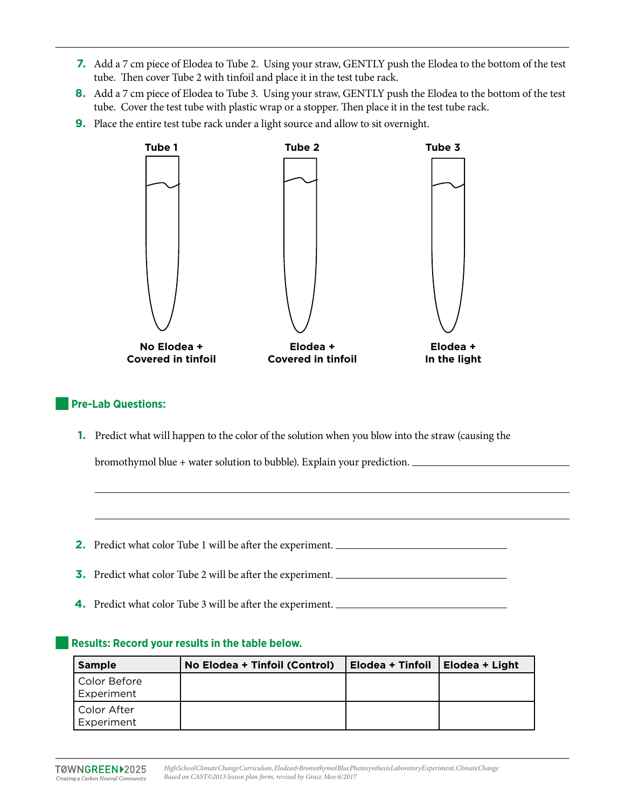- **7.** Add a 7 cm piece of Elodea to Tube 2. Using your straw, GENTLY push the Elodea to the bottom of the test tube. Then cover Tube 2 with tinfoil and place it in the test tube rack.
- **8.** Add a 7 cm piece of Elodea to Tube 3. Using your straw, GENTLY push the Elodea to the bottom of the test tube. Cover the test tube with plastic wrap or a stopper. Then place it in the test tube rack.
- **9.** Place the entire test tube rack under a light source and allow to sit overnight.



#### ■**Pre-Lab Questions:**

**1.** Predict what will happen to the color of the solution when you blow into the straw (causing the

bromothymol blue + water solution to bubble). Explain your prediction.

**2.** Predict what color Tube 1 will be after the experiment.

**3.** Predict what color Tube 2 will be after the experiment.

**4.** Predict what color Tube 3 will be after the experiment.

#### Results: Record your results in the table below.

| <b>Sample</b>               | No Elodea + Tinfoil (Control) | Elodea + Tinfoil   Elodea + Light |  |
|-----------------------------|-------------------------------|-----------------------------------|--|
| Color Before <br>Experiment |                               |                                   |  |
| Color After<br>Experiment   |                               |                                   |  |